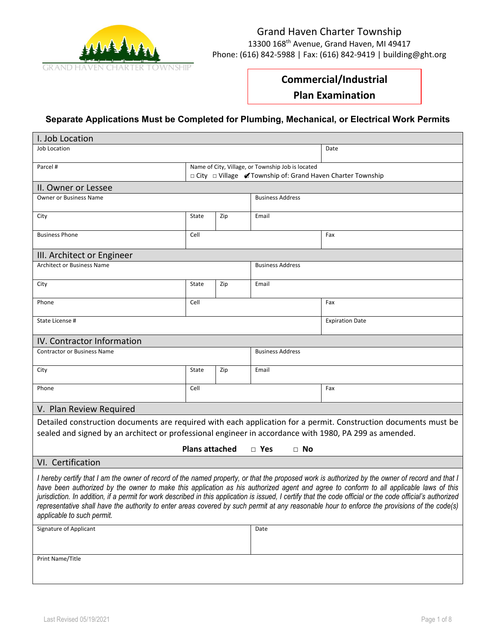

# Grand Haven Charter Township 13300 168th Avenue, Grand Haven, MI 49417 Phone: (616) 842-5988 | Fax: (616) 842-9419 | building@ght.org

# **Commercial/Industrial**

**Plan Examination**

# **Separate Applications Must be Completed for Plumbing, Mechanical, or Electrical Work Permits**

.

| I. Job Location                                                                                                                                                                                                                                                                                                                                                                                                                                                                                                                                                                                                                         |                                                                                                                   |     |                         |                        |  |
|-----------------------------------------------------------------------------------------------------------------------------------------------------------------------------------------------------------------------------------------------------------------------------------------------------------------------------------------------------------------------------------------------------------------------------------------------------------------------------------------------------------------------------------------------------------------------------------------------------------------------------------------|-------------------------------------------------------------------------------------------------------------------|-----|-------------------------|------------------------|--|
| Job Location                                                                                                                                                                                                                                                                                                                                                                                                                                                                                                                                                                                                                            |                                                                                                                   |     |                         | Date                   |  |
| Parcel #                                                                                                                                                                                                                                                                                                                                                                                                                                                                                                                                                                                                                                | Name of City, Village, or Township Job is located<br>□ City □ Village 7 Township of: Grand Haven Charter Township |     |                         |                        |  |
| II. Owner or Lessee                                                                                                                                                                                                                                                                                                                                                                                                                                                                                                                                                                                                                     |                                                                                                                   |     |                         |                        |  |
| Owner or Business Name                                                                                                                                                                                                                                                                                                                                                                                                                                                                                                                                                                                                                  |                                                                                                                   |     | <b>Business Address</b> |                        |  |
| City                                                                                                                                                                                                                                                                                                                                                                                                                                                                                                                                                                                                                                    | State                                                                                                             | Zip | Email                   |                        |  |
| <b>Business Phone</b>                                                                                                                                                                                                                                                                                                                                                                                                                                                                                                                                                                                                                   | Cell                                                                                                              |     |                         | Fax                    |  |
| III. Architect or Engineer                                                                                                                                                                                                                                                                                                                                                                                                                                                                                                                                                                                                              |                                                                                                                   |     |                         |                        |  |
| <b>Architect or Business Name</b>                                                                                                                                                                                                                                                                                                                                                                                                                                                                                                                                                                                                       |                                                                                                                   |     | <b>Business Address</b> |                        |  |
| City                                                                                                                                                                                                                                                                                                                                                                                                                                                                                                                                                                                                                                    | State                                                                                                             | Zip | Email                   |                        |  |
| Phone                                                                                                                                                                                                                                                                                                                                                                                                                                                                                                                                                                                                                                   | Cell                                                                                                              |     |                         | Fax                    |  |
| State License #                                                                                                                                                                                                                                                                                                                                                                                                                                                                                                                                                                                                                         |                                                                                                                   |     |                         | <b>Expiration Date</b> |  |
| IV. Contractor Information                                                                                                                                                                                                                                                                                                                                                                                                                                                                                                                                                                                                              |                                                                                                                   |     |                         |                        |  |
| <b>Contractor or Business Name</b>                                                                                                                                                                                                                                                                                                                                                                                                                                                                                                                                                                                                      | <b>Business Address</b>                                                                                           |     |                         |                        |  |
| City                                                                                                                                                                                                                                                                                                                                                                                                                                                                                                                                                                                                                                    | State                                                                                                             | Zip | Email                   |                        |  |
| Phone                                                                                                                                                                                                                                                                                                                                                                                                                                                                                                                                                                                                                                   | Cell                                                                                                              |     |                         | Fax                    |  |
| V. Plan Review Required                                                                                                                                                                                                                                                                                                                                                                                                                                                                                                                                                                                                                 |                                                                                                                   |     |                         |                        |  |
| Detailed construction documents are required with each application for a permit. Construction documents must be<br>sealed and signed by an architect or professional engineer in accordance with 1980, PA 299 as amended.                                                                                                                                                                                                                                                                                                                                                                                                               |                                                                                                                   |     |                         |                        |  |
| <b>Plans attached</b><br>$\Box$ Yes<br>$\Box$ No                                                                                                                                                                                                                                                                                                                                                                                                                                                                                                                                                                                        |                                                                                                                   |     |                         |                        |  |
| VI. Certification                                                                                                                                                                                                                                                                                                                                                                                                                                                                                                                                                                                                                       |                                                                                                                   |     |                         |                        |  |
| I hereby certify that I am the owner of record of the named property, or that the proposed work is authorized by the owner of record and that I<br>have been authorized by the owner to make this application as his authorized agent and agree to conform to all applicable laws of this<br>jurisdiction. In addition, if a permit for work described in this application is issued, I certify that the code official or the code official's authorized<br>representative shall have the authority to enter areas covered by such permit at any reasonable hour to enforce the provisions of the code(s)<br>applicable to such permit. |                                                                                                                   |     |                         |                        |  |
| Signature of Applicant                                                                                                                                                                                                                                                                                                                                                                                                                                                                                                                                                                                                                  |                                                                                                                   |     | Date                    |                        |  |
| Print Name/Title                                                                                                                                                                                                                                                                                                                                                                                                                                                                                                                                                                                                                        |                                                                                                                   |     |                         |                        |  |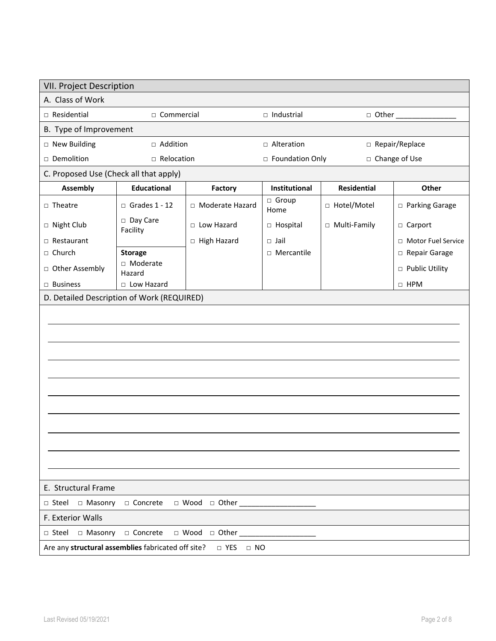| <b>VII. Project Description</b>                                                          |                      |                   |                   |                    |                      |  |
|------------------------------------------------------------------------------------------|----------------------|-------------------|-------------------|--------------------|----------------------|--|
| A. Class of Work                                                                         |                      |                   |                   |                    |                      |  |
| □ Residential<br>□ Commercial                                                            |                      | $\Box$ Industrial |                   |                    |                      |  |
| B. Type of Improvement                                                                   |                      |                   |                   |                    |                      |  |
| □ New Building                                                                           | □ Addition           |                   | □ Alteration      |                    | □ Repair/Replace     |  |
| Demolition                                                                               | □ Relocation         |                   | □ Foundation Only |                    | □ Change of Use      |  |
| C. Proposed Use (Check all that apply)                                                   |                      |                   |                   |                    |                      |  |
| <b>Assembly</b>                                                                          | <b>Educational</b>   | Factory           | Institutional     | <b>Residential</b> | Other                |  |
| $\Box$ Theatre                                                                           | $\Box$ Grades 1 - 12 | □ Moderate Hazard | □ Group<br>Home   | □ Hotel/Motel      | □ Parking Garage     |  |
| □ Night Club                                                                             | Day Care<br>Facility | $\Box$ Low Hazard | □ Hospital        | □ Multi-Family     | □ Carport            |  |
| $\Box$ Restaurant                                                                        |                      | □ High Hazard     | $\Box$ Jail       |                    | □ Motor Fuel Service |  |
| □ Church                                                                                 | <b>Storage</b>       |                   | $\Box$ Mercantile |                    | Repair Garage        |  |
| □ Other Assembly                                                                         | □ Moderate<br>Hazard |                   |                   |                    | □ Public Utility     |  |
| $\Box$ Business                                                                          | □ Low Hazard         |                   |                   |                    | $\Box$ HPM           |  |
|                                                                                          |                      |                   |                   |                    |                      |  |
| D. Detailed Description of Work (REQUIRED)<br>E. Structural Frame                        |                      |                   |                   |                    |                      |  |
|                                                                                          |                      |                   |                   |                    |                      |  |
| □ Masonry □ Concrete<br>$\Box$ Steel<br>$\Box$ Wood $\Box$ Other __<br>F. Exterior Walls |                      |                   |                   |                    |                      |  |
| □ Steel □ Masonry □ Concrete □ Wood □ Other                                              |                      |                   |                   |                    |                      |  |
| Are any structural assemblies fabricated off site?<br>$\Box$ YES<br>$\Box$ NO            |                      |                   |                   |                    |                      |  |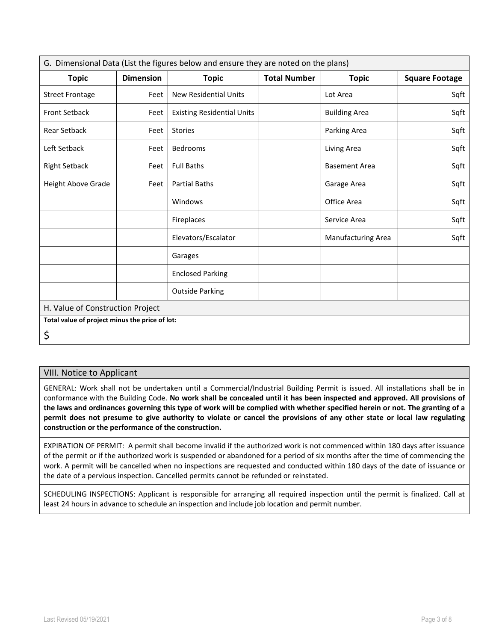| G. Dimensional Data (List the figures below and ensure they are noted on the plans) |                  |                                   |                     |                      |                       |
|-------------------------------------------------------------------------------------|------------------|-----------------------------------|---------------------|----------------------|-----------------------|
| <b>Topic</b>                                                                        | <b>Dimension</b> | <b>Topic</b>                      | <b>Total Number</b> | <b>Topic</b>         | <b>Square Footage</b> |
| <b>Street Frontage</b>                                                              | Feet             | <b>New Residential Units</b>      |                     | Lot Area             | Sqft                  |
| <b>Front Setback</b>                                                                | Feet             | <b>Existing Residential Units</b> |                     | <b>Building Area</b> | Sqft                  |
| <b>Rear Setback</b>                                                                 | Feet             | <b>Stories</b>                    |                     | Parking Area         | Sqft                  |
| Left Setback                                                                        | Feet             | Bedrooms                          |                     | Living Area          | Sqft                  |
| <b>Right Setback</b>                                                                | Feet             | <b>Full Baths</b>                 |                     | <b>Basement Area</b> | Sqft                  |
| Height Above Grade                                                                  | Feet             | <b>Partial Baths</b>              |                     | Garage Area          | Sqft                  |
|                                                                                     |                  | Windows                           |                     | Office Area          | Sqft                  |
|                                                                                     |                  | Fireplaces                        |                     | Service Area         | Sqft                  |
|                                                                                     |                  | Elevators/Escalator               |                     | Manufacturing Area   | Sqft                  |
|                                                                                     |                  | Garages                           |                     |                      |                       |
|                                                                                     |                  | <b>Enclosed Parking</b>           |                     |                      |                       |
|                                                                                     |                  | <b>Outside Parking</b>            |                     |                      |                       |
| H. Value of Construction Project                                                    |                  |                                   |                     |                      |                       |
| Total value of project minus the price of lot:                                      |                  |                                   |                     |                      |                       |
| \$                                                                                  |                  |                                   |                     |                      |                       |

## VIII. Notice to Applicant

GENERAL: Work shall not be undertaken until a Commercial/Industrial Building Permit is issued. All installations shall be in conformance with the Building Code. **No work shall be concealed until it has been inspected and approved. All provisions of the laws and ordinances governing this type of work will be complied with whether specified herein or not. The granting of a permit does not presume to give authority to violate or cancel the provisions of any other state or local law regulating construction or the performance of the construction.**

EXPIRATION OF PERMIT: A permit shall become invalid if the authorized work is not commenced within 180 days after issuance of the permit or if the authorized work is suspended or abandoned for a period of six months after the time of commencing the work. A permit will be cancelled when no inspections are requested and conducted within 180 days of the date of issuance or the date of a pervious inspection. Cancelled permits cannot be refunded or reinstated.

SCHEDULING INSPECTIONS: Applicant is responsible for arranging all required inspection until the permit is finalized. Call at least 24 hours in advance to schedule an inspection and include job location and permit number.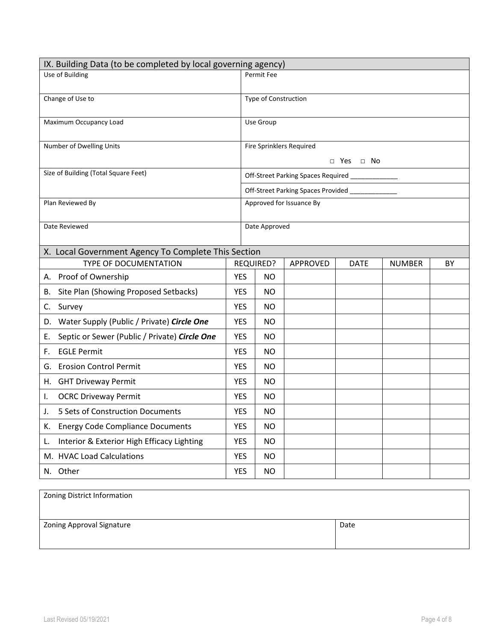| IX. Building Data (to be completed by local governing agency) |            |                          |                                                  |             |               |    |  |
|---------------------------------------------------------------|------------|--------------------------|--------------------------------------------------|-------------|---------------|----|--|
| Use of Building                                               |            | Permit Fee               |                                                  |             |               |    |  |
| Change of Use to                                              |            | Type of Construction     |                                                  |             |               |    |  |
| Maximum Occupancy Load                                        |            | Use Group                |                                                  |             |               |    |  |
| Number of Dwelling Units                                      |            | Fire Sprinklers Required |                                                  |             |               |    |  |
|                                                               |            | $\Box$ Yes $\Box$ No     |                                                  |             |               |    |  |
| Size of Building (Total Square Feet)                          |            |                          | Off-Street Parking Spaces Required _____________ |             |               |    |  |
|                                                               |            |                          | Off-Street Parking Spaces Provided               |             |               |    |  |
| Plan Reviewed By                                              |            |                          | Approved for Issuance By                         |             |               |    |  |
| Date Reviewed                                                 |            | Date Approved            |                                                  |             |               |    |  |
| X. Local Government Agency To Complete This Section           |            |                          |                                                  |             |               |    |  |
| TYPE OF DOCUMENTATION                                         |            | REQUIRED?                | APPROVED                                         | <b>DATE</b> | <b>NUMBER</b> | BY |  |
| A. Proof of Ownership                                         | <b>YES</b> | NO.                      |                                                  |             |               |    |  |
| Site Plan (Showing Proposed Setbacks)<br>В.                   | <b>YES</b> | ΝO                       |                                                  |             |               |    |  |
| Survey<br>C.                                                  | <b>YES</b> | NO.                      |                                                  |             |               |    |  |
| D. Water Supply (Public / Private) Circle One                 | <b>YES</b> | NO.                      |                                                  |             |               |    |  |
| Septic or Sewer (Public / Private) Circle One<br>Е.           | <b>YES</b> | ΝO                       |                                                  |             |               |    |  |
| <b>EGLE Permit</b><br>F.                                      | <b>YES</b> | NO.                      |                                                  |             |               |    |  |
| <b>Erosion Control Permit</b><br>G.                           | <b>YES</b> | ΝO                       |                                                  |             |               |    |  |
| H. GHT Driveway Permit                                        | YES        | <b>NO</b>                |                                                  |             |               |    |  |
| <b>OCRC Driveway Permit</b><br>Ι.                             | <b>YES</b> | NO.                      |                                                  |             |               |    |  |
| 5 Sets of Construction Documents<br>J.                        | <b>YES</b> | ΝO                       |                                                  |             |               |    |  |
| <b>Energy Code Compliance Documents</b><br>К.                 | <b>YES</b> | NO.                      |                                                  |             |               |    |  |
| Interior & Exterior High Efficacy Lighting<br>L.              | <b>YES</b> | NO.                      |                                                  |             |               |    |  |
| M. HVAC Load Calculations                                     | <b>YES</b> | <b>NO</b>                |                                                  |             |               |    |  |
| N. Other                                                      | <b>YES</b> | <b>NO</b>                |                                                  |             |               |    |  |

| Zoning District Information      |      |
|----------------------------------|------|
| <b>Zoning Approval Signature</b> | Date |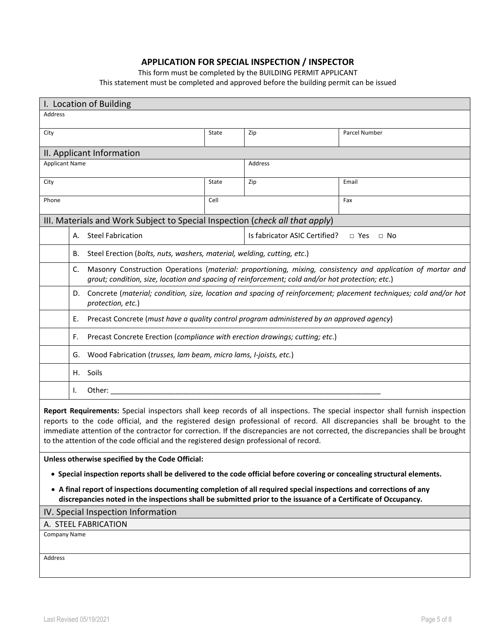# **APPLICATION FOR SPECIAL INSPECTION / INSPECTOR**

This form must be completed by the BUILDING PERMIT APPLICANT

This statement must be completed and approved before the building permit can be issued

| I. Location of Building                                                                                                                                                                                                                                                                                                                                                                                                                                                                   |                                                                                                                      |                               |                                                                                                             |  |  |
|-------------------------------------------------------------------------------------------------------------------------------------------------------------------------------------------------------------------------------------------------------------------------------------------------------------------------------------------------------------------------------------------------------------------------------------------------------------------------------------------|----------------------------------------------------------------------------------------------------------------------|-------------------------------|-------------------------------------------------------------------------------------------------------------|--|--|
| <b>Address</b>                                                                                                                                                                                                                                                                                                                                                                                                                                                                            |                                                                                                                      |                               |                                                                                                             |  |  |
| City                                                                                                                                                                                                                                                                                                                                                                                                                                                                                      | State                                                                                                                | Zip                           | Parcel Number                                                                                               |  |  |
|                                                                                                                                                                                                                                                                                                                                                                                                                                                                                           |                                                                                                                      |                               |                                                                                                             |  |  |
| II. Applicant Information<br><b>Applicant Name</b>                                                                                                                                                                                                                                                                                                                                                                                                                                        |                                                                                                                      | Address                       |                                                                                                             |  |  |
|                                                                                                                                                                                                                                                                                                                                                                                                                                                                                           |                                                                                                                      |                               |                                                                                                             |  |  |
| City                                                                                                                                                                                                                                                                                                                                                                                                                                                                                      | State                                                                                                                | Zip                           | Email                                                                                                       |  |  |
| Phone                                                                                                                                                                                                                                                                                                                                                                                                                                                                                     | Cell                                                                                                                 |                               | Fax                                                                                                         |  |  |
| III. Materials and Work Subject to Special Inspection (check all that apply)                                                                                                                                                                                                                                                                                                                                                                                                              |                                                                                                                      |                               |                                                                                                             |  |  |
| <b>Steel Fabrication</b><br>А.                                                                                                                                                                                                                                                                                                                                                                                                                                                            |                                                                                                                      | Is fabricator ASIC Certified? | $\Box$ Yes<br>$\Box$ No                                                                                     |  |  |
| Steel Erection (bolts, nuts, washers, material, welding, cutting, etc.)<br>В.                                                                                                                                                                                                                                                                                                                                                                                                             |                                                                                                                      |                               |                                                                                                             |  |  |
| C.<br>grout; condition, size, location and spacing of reinforcement; cold and/or hot protection; etc.)                                                                                                                                                                                                                                                                                                                                                                                    |                                                                                                                      |                               | Masonry Construction Operations (material: proportioning, mixing, consistency and application of mortar and |  |  |
| protection, etc.)                                                                                                                                                                                                                                                                                                                                                                                                                                                                         | D. Concrete (material; condition, size, location and spacing of reinforcement; placement techniques; cold and/or hot |                               |                                                                                                             |  |  |
| Precast Concrete (must have a quality control program administered by an approved agency)<br>Е.                                                                                                                                                                                                                                                                                                                                                                                           |                                                                                                                      |                               |                                                                                                             |  |  |
| Precast Concrete Erection (compliance with erection drawings; cutting; etc.)<br>F.                                                                                                                                                                                                                                                                                                                                                                                                        |                                                                                                                      |                               |                                                                                                             |  |  |
| Wood Fabrication (trusses, lam beam, micro lams, I-joists, etc.)<br>G.                                                                                                                                                                                                                                                                                                                                                                                                                    |                                                                                                                      |                               |                                                                                                             |  |  |
| H. Soils                                                                                                                                                                                                                                                                                                                                                                                                                                                                                  |                                                                                                                      |                               |                                                                                                             |  |  |
| I.<br>Other:                                                                                                                                                                                                                                                                                                                                                                                                                                                                              |                                                                                                                      |                               |                                                                                                             |  |  |
| Report Requirements: Special inspectors shall keep records of all inspections. The special inspector shall furnish inspection<br>reports to the code official, and the registered design professional of record. All discrepancies shall be brought to the<br>immediate attention of the contractor for correction. If the discrepancies are not corrected, the discrepancies shall be brought<br>to the attention of the code official and the registered design professional of record. |                                                                                                                      |                               |                                                                                                             |  |  |
| Unless otherwise specified by the Code Official:                                                                                                                                                                                                                                                                                                                                                                                                                                          |                                                                                                                      |                               |                                                                                                             |  |  |
| • Special inspection reports shall be delivered to the code official before covering or concealing structural elements.                                                                                                                                                                                                                                                                                                                                                                   |                                                                                                                      |                               |                                                                                                             |  |  |
| • A final report of inspections documenting completion of all required special inspections and corrections of any<br>discrepancies noted in the inspections shall be submitted prior to the issuance of a Certificate of Occupancy.                                                                                                                                                                                                                                                       |                                                                                                                      |                               |                                                                                                             |  |  |
| IV. Special Inspection Information                                                                                                                                                                                                                                                                                                                                                                                                                                                        |                                                                                                                      |                               |                                                                                                             |  |  |
| A. STEEL FABRICATION                                                                                                                                                                                                                                                                                                                                                                                                                                                                      |                                                                                                                      |                               |                                                                                                             |  |  |
| Company Name                                                                                                                                                                                                                                                                                                                                                                                                                                                                              |                                                                                                                      |                               |                                                                                                             |  |  |
| Address                                                                                                                                                                                                                                                                                                                                                                                                                                                                                   |                                                                                                                      |                               |                                                                                                             |  |  |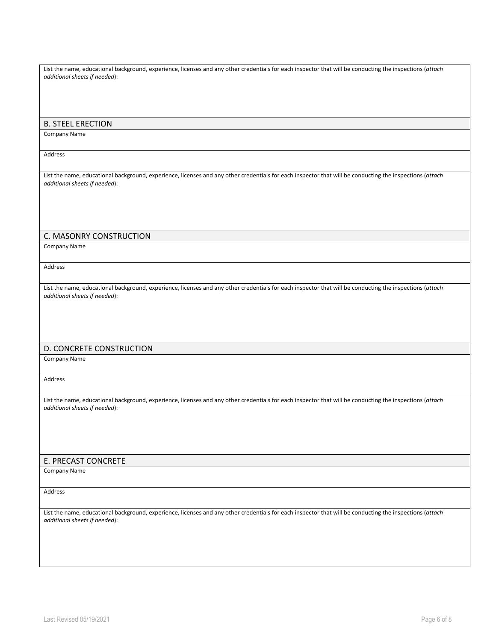List the name, educational background, experience, licenses and any other credentials for each inspector that will be conducting the inspections (*attach additional sheets if needed*):

#### B. STEEL ERECTION

Company Name

Address

List the name, educational background, experience, licenses and any other credentials for each inspector that will be conducting the inspections (*attach additional sheets if needed*):

### C. MASONRY CONSTRUCTION

Company Name

Address

List the name, educational background, experience, licenses and any other credentials for each inspector that will be conducting the inspections (*attach additional sheets if needed*):

### D. CONCRETE CONSTRUCTION

Company Name

Address

List the name, educational background, experience, licenses and any other credentials for each inspector that will be conducting the inspections (*attach additional sheets if needed*):

#### E. PRECAST CONCRETE

Company Name

Address

List the name, educational background, experience, licenses and any other credentials for each inspector that will be conducting the inspections (*attach additional sheets if needed*):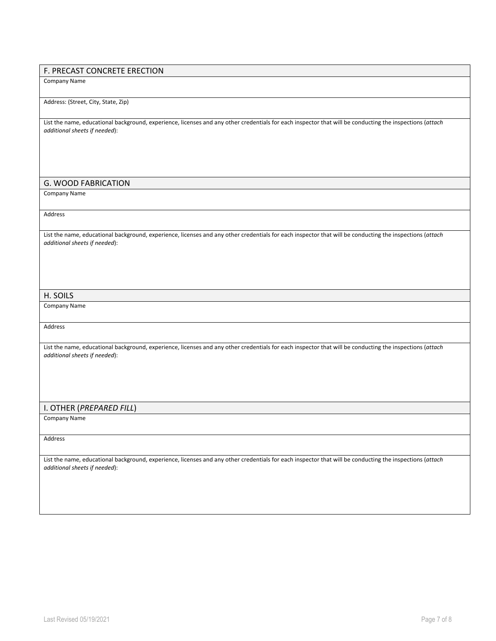### F. PRECAST CONCRETE ERECTION

Company Name

#### Address: (Street, City, State, Zip)

List the name, educational background, experience, licenses and any other credentials for each inspector that will be conducting the inspections (*attach additional sheets if needed*):

### G. WOOD FABRICATION

Company Name

Address

List the name, educational background, experience, licenses and any other credentials for each inspector that will be conducting the inspections (*attach additional sheets if needed*):

#### H. SOILS

Company Name

Address

List the name, educational background, experience, licenses and any other credentials for each inspector that will be conducting the inspections (*attach additional sheets if needed*):

#### I. OTHER (*PREPARED FILL*)

Company Name

#### Address

List the name, educational background, experience, licenses and any other credentials for each inspector that will be conducting the inspections (*attach additional sheets if needed*):